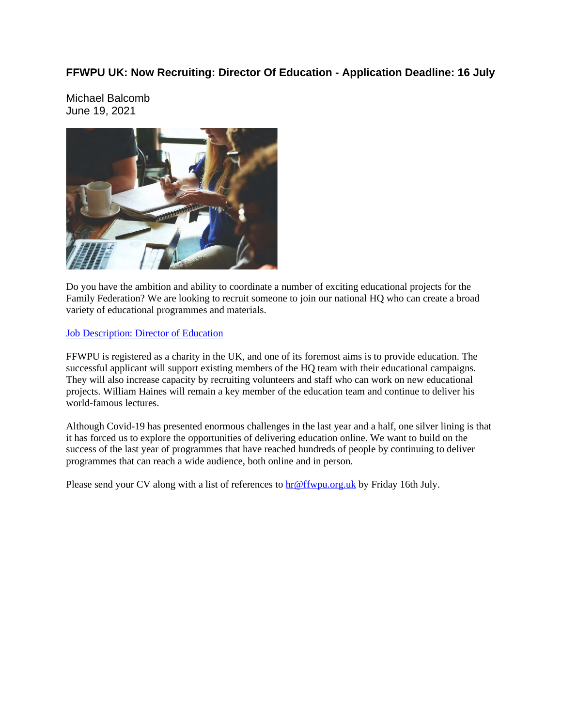### **FFWPU UK: Now Recruiting: Director Of Education - Application Deadline: 16 July**

Michael Balcomb June 19, 2021



Do you have the ambition and ability to coordinate a number of exciting educational projects for the Family Federation? We are looking to recruit someone to join our national HQ who can create a broad variety of educational programmes and materials.

#### Job Description: Director of Education

FFWPU is registered as a charity in the UK, and one of its foremost aims is to provide education. The successful applicant will support existing members of the HQ team with their educational campaigns. They will also increase capacity by recruiting volunteers and staff who can work on new educational projects. William Haines will remain a key member of the education team and continue to deliver his world-famous lectures.

Although Covid-19 has presented enormous challenges in the last year and a half, one silver lining is that it has forced us to explore the opportunities of delivering education online. We want to build on the success of the last year of programmes that have reached hundreds of people by continuing to deliver programmes that can reach a wide audience, both online and in person.

Please send your CV along with a list of references to  $\frac{\ln \omega f(w) - \omega g}{\ln w}$  by Friday 16th July.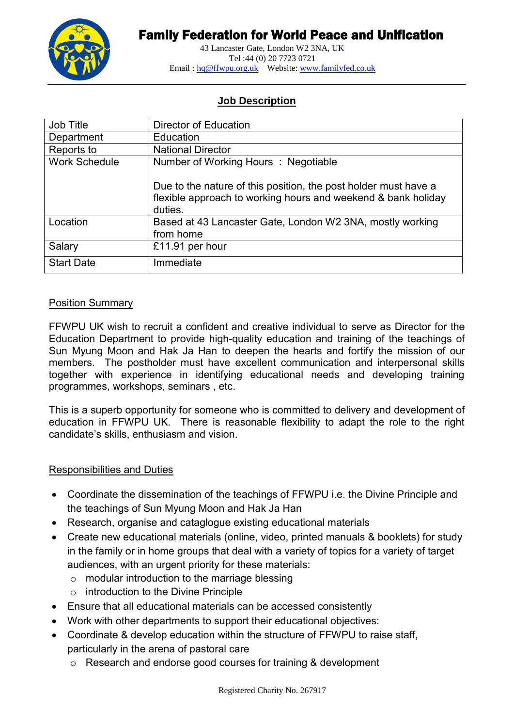

# Family Federation for World Peace and Unification

43 Lancaster Gate, London W2 3NA, UK Tel :44 (0) 20 7723 0721 Email : hq@ffwpu.org.uk Website: www.familyfed.co.uk

### **Job Description**

| Job Title            | Director of Education                                                                                                                       |
|----------------------|---------------------------------------------------------------------------------------------------------------------------------------------|
| Department           | Education                                                                                                                                   |
| Reports to           | <b>National Director</b>                                                                                                                    |
| <b>Work Schedule</b> | Number of Working Hours : Negotiable                                                                                                        |
|                      | Due to the nature of this position, the post holder must have a<br>flexible approach to working hours and weekend & bank holiday<br>duties. |
| Location             | Based at 43 Lancaster Gate, London W2 3NA, mostly working<br>from home                                                                      |
| Salary               | £11.91 per hour                                                                                                                             |
| <b>Start Date</b>    | Immediate                                                                                                                                   |

#### Position Summary

FFWPU UK wish to recruit a confident and creative individual to serve as Director for the Education Department to provide high-quality education and training of the teachings of Sun Myung Moon and Hak Ja Han to deepen the hearts and fortify the mission of our members. The postholder must have excellent communication and interpersonal skills together with experience in identifying educational needs and developing training programmes, workshops, seminars , etc.

This is a superb opportunity for someone who is committed to delivery and development of education in FFWPU UK. There is reasonable flexibility to adapt the role to the right candidate's skills, enthusiasm and vision.

#### Responsibilities and Duties

- Coordinate the dissemination of the teachings of FFWPU i.e. the Divine Principle and the teachings of Sun Myung Moon and Hak Ja Han
- Research, organise and cataglogue existing educational materials
- Create new educational materials (online, video, printed manuals & booklets) for study in the family or in home groups that deal with a variety of topics for a variety of target audiences, with an urgent priority for these materials:
	- o modular introduction to the marriage blessing
	- o introduction to the Divine Principle
- Ensure that all educational materials can be accessed consistently
- Work with other departments to support their educational objectives:
- Coordinate & develop education within the structure of FFWPU to raise staff, particularly in the arena of pastoral care
	- o Research and endorse good courses for training & development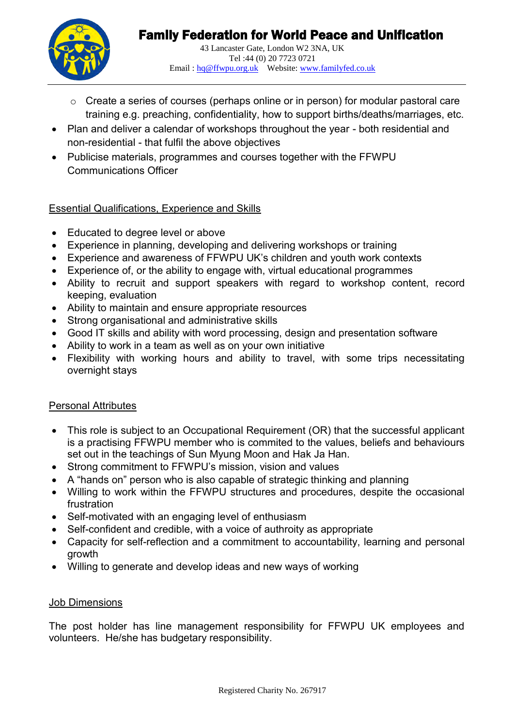

- o Create a series of courses (perhaps online or in person) for modular pastoral care training e.g. preaching, confidentiality, how to support births/deaths/marriages, etc.
- Plan and deliver a calendar of workshops throughout the year both residential and non-residential - that fulfil the above objectives
- Publicise materials, programmes and courses together with the FFWPU Communications Officer

## Essential Qualifications, Experience and Skills

- Educated to degree level or above
- Experience in planning, developing and delivering workshops or training
- Experience and awareness of FFWPU UK's children and youth work contexts
- Experience of, or the ability to engage with, virtual educational programmes
- Ability to recruit and support speakers with regard to workshop content, record keeping, evaluation
- Ability to maintain and ensure appropriate resources
- Strong organisational and administrative skills
- Good IT skills and ability with word processing, design and presentation software
- Ability to work in a team as well as on your own initiative
- Flexibility with working hours and ability to travel, with some trips necessitating overnight stays

### Personal Attributes

- This role is subiect to an Occupational Requirement (OR) that the successful applicant is a practising FFWPU member who is commited to the values, beliefs and behaviours set out in the teachings of Sun Myung Moon and Hak Ja Han.
- Strong commitment to FFWPU's mission, vision and values
- A "hands on" person who is also capable of strategic thinking and planning
- Willing to work within the FFWPU structures and procedures, despite the occasional frustration
- Self-motivated with an engaging level of enthusiasm
- Self-confident and credible, with a voice of authroity as appropriate
- Capacity for self-reflection and a commitment to accountability, learning and personal growth
- Willing to generate and develop ideas and new ways of working

### Job Dimensions

The post holder has line management responsibility for FFWPU UK employees and volunteers. He/she has budgetary responsibility.